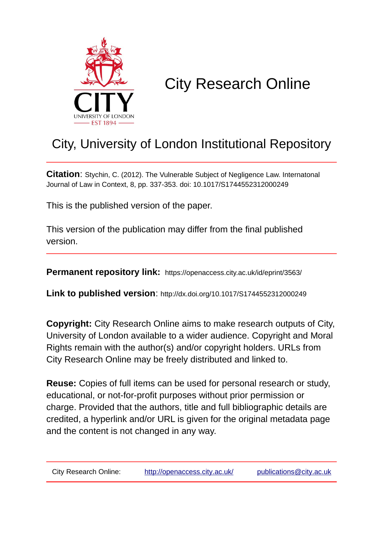

# City Research Online

## City, University of London Institutional Repository

**Citation**: Stychin, C. (2012). The Vulnerable Subject of Negligence Law. Internatonal Journal of Law in Context, 8, pp. 337-353. doi: 10.1017/S1744552312000249

This is the published version of the paper.

This version of the publication may differ from the final published version.

**Permanent repository link:** https://openaccess.city.ac.uk/id/eprint/3563/

**Link to published version**: http://dx.doi.org/10.1017/S1744552312000249

**Copyright:** City Research Online aims to make research outputs of City, University of London available to a wider audience. Copyright and Moral Rights remain with the author(s) and/or copyright holders. URLs from City Research Online may be freely distributed and linked to.

**Reuse:** Copies of full items can be used for personal research or study, educational, or not-for-profit purposes without prior permission or charge. Provided that the authors, title and full bibliographic details are credited, a hyperlink and/or URL is given for the original metadata page and the content is not changed in any way.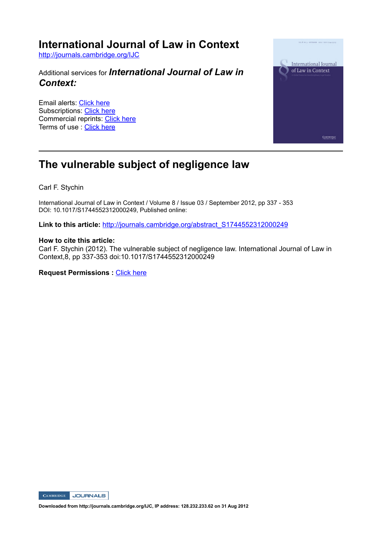### **International Journal of Law in Context**

http://journals.cambridge.org/IJC

Additional services for *International Journal of Law in Context:*

Email alerts: Click here Subscriptions: Click here Commercial reprints: Click here Terms of use : Click here



## **The vulnerable subject of negligence law**

Carl F. Stychin

International Journal of Law in Context / Volume 8 / Issue 03 / September 2012, pp 337 - 353 DOI: 10.1017/S1744552312000249, Published online:

Link to this article: http://journals.cambridge.org/abstract\_S1744552312000249

#### **How to cite this article:**

Carl F. Stychin (2012). The vulnerable subject of negligence law. International Journal of Law in Context, 8, pp 337-353 doi:10.1017/S1744552312000249

**Request Permissions :** Click here



**Downloaded from http://journals.cambridge.org/IJC, IP address: 128.232.233.62 on 31 Aug 2012**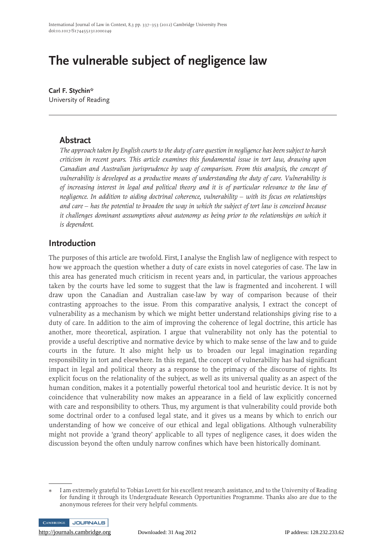## The vulnerable subject of negligence law

Carl F. Stychin\* University of Reading

#### Abstract

The approach taken by English courts to the duty of care question in negligence has been subject to harsh criticism in recent years. This article examines this fundamental issue in tort law, drawing upon Canadian and Australian jurisprudence by way of comparison. From this analysis, the concept of vulnerability is developed as a productive means of understanding the duty of care. Vulnerability is of increasing interest in legal and political theory and it is of particular relevance to the law of negligence. In addition to aiding doctrinal coherence, vulnerability – with its focus on relationships and care – has the potential to broaden the way in which the subject of tort law is conceived because it challenges dominant assumptions about autonomy as being prior to the relationships on which it is dependent.

#### Introduction

The purposes of this article are twofold. First, I analyse the English law of negligence with respect to how we approach the question whether a duty of care exists in novel categories of case. The law in this area has generated much criticism in recent years and, in particular, the various approaches taken by the courts have led some to suggest that the law is fragmented and incoherent. I will draw upon the Canadian and Australian case-law by way of comparison because of their contrasting approaches to the issue. From this comparative analysis, I extract the concept of vulnerability as a mechanism by which we might better understand relationships giving rise to a duty of care. In addition to the aim of improving the coherence of legal doctrine, this article has another, more theoretical, aspiration. I argue that vulnerability not only has the potential to provide a useful descriptive and normative device by which to make sense of the law and to guide courts in the future. It also might help us to broaden our legal imagination regarding responsibility in tort and elsewhere. In this regard, the concept of vulnerability has had significant impact in legal and political theory as a response to the primacy of the discourse of rights. Its explicit focus on the relationality of the subject, as well as its universal quality as an aspect of the human condition, makes it a potentially powerful rhetorical tool and heuristic device. It is not by coincidence that vulnerability now makes an appearance in a field of law explicitly concerned with care and responsibility to others. Thus, my argument is that vulnerability could provide both some doctrinal order to a confused legal state, and it gives us a means by which to enrich our understanding of how we conceive of our ethical and legal obligations. Although vulnerability might not provide a 'grand theory' applicable to all types of negligence cases, it does widen the discussion beyond the often unduly narrow confines which have been historically dominant.

<sup>\*</sup> I am extremely grateful to Tobias Lovett for his excellent research assistance, and to the University of Reading for funding it through its Undergraduate Research Opportunities Programme. Thanks also are due to the anonymous referees for their very helpful comments.

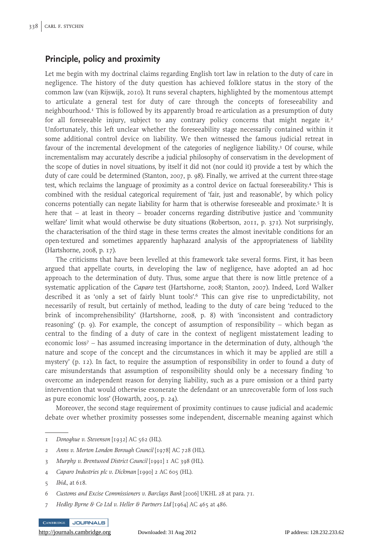#### Principle, policy and proximity

Let me begin with my doctrinal claims regarding English tort law in relation to the duty of care in negligence. The history of the duty question has achieved folklore status in the story of the common law (van Rijswijk, 2010). It runs several chapters, highlighted by the momentous attempt to articulate a general test for duty of care through the concepts of foreseeability and neighbourhood.<sup>1</sup> This is followed by its apparently broad re-articulation as a presumption of duty for all foreseeable injury, subject to any contrary policy concerns that might negate it.<sup>2</sup> Unfortunately, this left unclear whether the foreseeability stage necessarily contained within it some additional control device on liability. We then witnessed the famous judicial retreat in favour of the incremental development of the categories of negligence liability.3 Of course, while incrementalism may accurately describe a judicial philosophy of conservatism in the development of the scope of duties in novel situations, by itself it did not (nor could it) provide a test by which the duty of care could be determined (Stanton, 2007, p. 98). Finally, we arrived at the current three-stage test, which reclaims the language of proximity as a control device on factual foreseeability.4 This is combined with the residual categorical requirement of 'fair, just and reasonable', by which policy concerns potentially can negate liability for harm that is otherwise foreseeable and proximate.5 It is here that – at least in theory – broader concerns regarding distributive justice and 'community welfare' limit what would otherwise be duty situations (Robertson, 2011, p. 371). Not surprisingly, the characterisation of the third stage in these terms creates the almost inevitable conditions for an open-textured and sometimes apparently haphazard analysis of the appropriateness of liability (Hartshorne, 2008, p. 17).

The criticisms that have been levelled at this framework take several forms. First, it has been argued that appellate courts, in developing the law of negligence, have adopted an ad hoc approach to the determination of duty. Thus, some argue that there is now little pretence of a systematic application of the Caparo test (Hartshorne, 2008; Stanton, 2007). Indeed, Lord Walker described it as 'only a set of fairly blunt tools'. <sup>6</sup> This can give rise to unpredictability, not necessarily of result, but certainly of method, leading to the duty of care being 'reduced to the brink of incomprehensibility' (Hartshorne, 2008, p. 8) with 'inconsistent and contradictory reasoning' (p. 9). For example, the concept of assumption of responsibility – which began as central to the finding of a duty of care in the context of negligent misstatement leading to economic loss7 – has assumed increasing importance in the determination of duty, although 'the nature and scope of the concept and the circumstances in which it may be applied are still a mystery' (p. 12). In fact, to require the assumption of responsibility in order to found a duty of care misunderstands that assumption of responsibility should only be a necessary finding 'to overcome an independent reason for denying liability, such as a pure omission or a third party intervention that would otherwise exonerate the defendant or an unrecoverable form of loss such as pure economic loss' (Howarth, 2005, p. 24).

Moreover, the second stage requirement of proximity continues to cause judicial and academic debate over whether proximity possesses some independent, discernable meaning against which

CAMBRIDGE JOURNALS

<sup>1</sup> Donoghue v. Stevenson [1932] AC 562 (HL).

<sup>2</sup> Anns v. Merton London Borough Council [1978] AC 728 (HL).

<sup>3</sup> Murphy v. Brentwood District Council [1991] 1 AC 398 (HL).

<sup>4</sup> Caparo Industries plc v. Dickman [1990] 2 AC 605 (HL).

 $5$  *Ibid.*, at  $618$ .

<sup>6</sup> Customs and Excise Commissioners v. Barclays Bank [2006] UKHL 28 at para. 71.

<sup>7</sup> Hedley Byrne & Co Ltd v. Heller & Partners Ltd [1964] AC 465 at 486.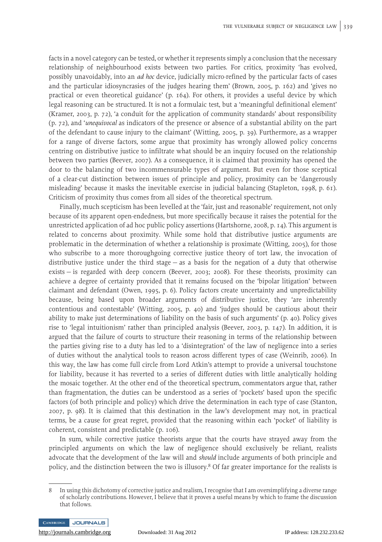facts in a novel category can be tested, or whether it represents simply a conclusion that the necessary relationship of neighbourhood exists between two parties. For critics, proximity 'has evolved, possibly unavoidably, into an ad hoc device, judicially micro-refined by the particular facts of cases and the particular idiosyncrasies of the judges hearing them' (Brown, 2005, p. 162) and 'gives no practical or even theoretical guidance' (p. 164). For others, it provides a useful device by which legal reasoning can be structured. It is not a formulaic test, but a 'meaningful definitional element' (Kramer, 2003, p. 72), 'a conduit for the application of community standards' about responsibility (p. 72), and 'unequivocal as indicators of the presence or absence of a substantial ability on the part of the defendant to cause injury to the claimant' (Witting, 2005, p. 39). Furthermore, as a wrapper for a range of diverse factors, some argue that proximity has wrongly allowed policy concerns centring on distributive justice to infiltrate what should be an inquiry focused on the relationship between two parties (Beever, 2007). As a consequence, it is claimed that proximity has opened the door to the balancing of two incommensurable types of argument. But even for those sceptical of a clear-cut distinction between issues of principle and policy, proximity can be 'dangerously misleading' because it masks the inevitable exercise in judicial balancing (Stapleton, 1998, p. 61). Criticism of proximity thus comes from all sides of the theoretical spectrum.

Finally, much scepticism has been levelled at the 'fair, just and reasonable' requirement, not only because of its apparent open-endedness, but more specifically because it raises the potential for the unrestricted application of ad hoc public policy assertions (Hartshorne, 2008, p. 14). This argument is related to concerns about proximity. While some hold that distributive justice arguments are problematic in the determination of whether a relationship is proximate (Witting, 2005), for those who subscribe to a more thoroughgoing corrective justice theory of tort law, the invocation of distributive justice under the third stage − as a basis for the negation of a duty that otherwise exists − is regarded with deep concern (Beever, 2003; 2008). For these theorists, proximity can achieve a degree of certainty provided that it remains focused on the 'bipolar litigation' between claimant and defendant (Owen, 1995, p. 6). Policy factors create uncertainty and unpredictability because, being based upon broader arguments of distributive justice, they 'are inherently contentious and contestable' (Witting, 2005, p. 40) and 'judges should be cautious about their ability to make just determinations of liability on the basis of such arguments' (p. 40). Policy gives rise to 'legal intuitionism' rather than principled analysis (Beever, 2003, p. 147). In addition, it is argued that the failure of courts to structure their reasoning in terms of the relationship between the parties giving rise to a duty has led to a 'disintegration' of the law of negligence into a series of duties without the analytical tools to reason across different types of case (Weinrib, 2006). In this way, the law has come full circle from Lord Atkin's attempt to provide a universal touchstone for liability, because it has reverted to a series of different duties with little analytically holding the mosaic together. At the other end of the theoretical spectrum, commentators argue that, rather than fragmentation, the duties can be understood as a series of 'pockets' based upon the specific factors (of both principle and policy) which drive the determination in each type of case (Stanton, 2007, p. 98). It is claimed that this destination in the law's development may not, in practical terms, be a cause for great regret, provided that the reasoning within each 'pocket' of liability is coherent, consistent and predictable (p. 106).

In sum, while corrective justice theorists argue that the courts have strayed away from the principled arguments on which the law of negligence should exclusively be reliant, realists advocate that the development of the law will and should include arguments of both principle and policy, and the distinction between the two is illusory.8 Of far greater importance for the realists is

<sup>8</sup> In using this dichotomy of corrective justice and realism, I recognise that I am oversimplifying a diverse range of scholarly contributions. However, I believe that it proves a useful means by which to frame the discussion that follows.

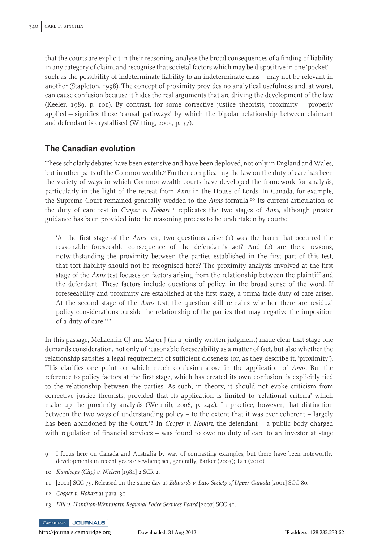that the courts are explicit in their reasoning, analyse the broad consequences of a finding of liability in any category of claim, and recognise that societal factors which may be dispositive in one 'pocket' – such as the possibility of indeterminate liability to an indeterminate class – may not be relevant in another (Stapleton, 1998). The concept of proximity provides no analytical usefulness and, at worst, can cause confusion because it hides the real arguments that are driving the development of the law (Keeler, 1989, p. 101). By contrast, for some corrective justice theorists, proximity – properly applied − signifies those 'causal pathways' by which the bipolar relationship between claimant and defendant is crystallised (Witting, 2005, p. 37).

#### The Canadian evolution

These scholarly debates have been extensive and have been deployed, not only in England and Wales, but in other parts of the Commonwealth.<sup>9</sup> Further complicating the law on the duty of care has been the variety of ways in which Commonwealth courts have developed the framework for analysis, particularly in the light of the retreat from Anns in the House of Lords. In Canada, for example, the Supreme Court remained generally wedded to the Anns formula.<sup>10</sup> Its current articulation of the duty of care test in Cooper v. Hobart<sup>11</sup> replicates the two stages of Anns, although greater guidance has been provided into the reasoning process to be undertaken by courts:

'At the first stage of the *Anns* test, two questions arise:  $(1)$  was the harm that occurred the reasonable foreseeable consequence of the defendant's act? And (2) are there reasons, notwithstanding the proximity between the parties established in the first part of this test, that tort liability should not be recognised here? The proximity analysis involved at the first stage of the Anns test focuses on factors arising from the relationship between the plaintiff and the defendant. These factors include questions of policy, in the broad sense of the word. If foreseeability and proximity are established at the first stage, a prima facie duty of care arises. At the second stage of the Anns test, the question still remains whether there are residual policy considerations outside the relationship of the parties that may negative the imposition of a duty of care.'<sup>12</sup>

In this passage, McLachlin CJ and Major J (in a jointly written judgment) made clear that stage one demands consideration, not only of reasonable foreseeability as a matter of fact, but also whether the relationship satisfies a legal requirement of sufficient closeness (or, as they describe it, 'proximity'). This clarifies one point on which much confusion arose in the application of Anns. But the reference to policy factors at the first stage, which has created its own confusion, is explicitly tied to the relationship between the parties. As such, in theory, it should not evoke criticism from corrective justice theorists, provided that its application is limited to 'relational criteria' which make up the proximity analysis (Weinrib, 2006, p. 244). In practice, however, that distinction between the two ways of understanding policy – to the extent that it was ever coherent – largely has been abandoned by the Court.<sup>13</sup> In *Cooper v. Hobart*, the defendant  $-$  a public body charged with regulation of financial services – was found to owe no duty of care to an investor at stage

CAMBRIDGE JOURNALS

<sup>9</sup> I focus here on Canada and Australia by way of contrasting examples, but there have been noteworthy developments in recent years elsewhere; see, generally, Barker (2003); Tan (2010).

<sup>10</sup> Kamloops (City) v. Nielsen [1984] 2 SCR 2.

<sup>11 [2001]</sup> SCC 79. Released on the same day as Edwards v. Law Society of Upper Canada [2001] SCC 80.

<sup>12</sup> Cooper v. Hobart at para. 30.

<sup>13</sup> Hill v. Hamilton-Wentworth Regional Police Services Board [2007] SCC 41.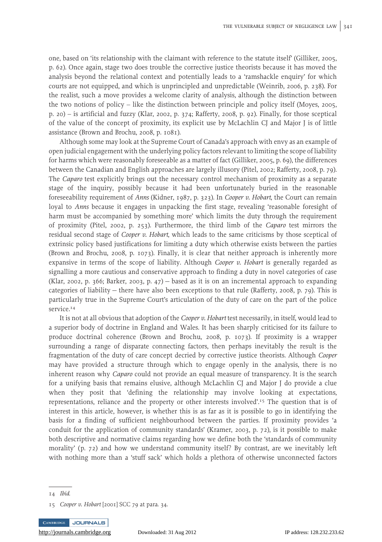one, based on 'its relationship with the claimant with reference to the statute itself' (Gilliker, 2005, p. 62). Once again, stage two does trouble the corrective justice theorists because it has moved the analysis beyond the relational context and potentially leads to a 'ramshackle enquiry' for which courts are not equipped, and which is unprincipled and unpredictable (Weinrib, 2006, p. 238). For the realist, such a move provides a welcome clarity of analysis, although the distinction between the two notions of policy – like the distinction between principle and policy itself (Moyes, 2005, p. 20) – is artificial and fuzzy (Klar, 2002, p. 374; Rafferty, 2008, p. 92). Finally, for those sceptical of the value of the concept of proximity, its explicit use by McLachlin CJ and Major J is of little assistance (Brown and Brochu, 2008, p. 1081).

Although some may look at the Supreme Court of Canada's approach with envy as an example of open judicial engagement with the underlying policy factors relevant to limiting the scope of liability for harms which were reasonably foreseeable as a matter of fact (Gilliker, 2005, p. 69), the differences between the Canadian and English approaches are largely illusory (Pitel, 2002; Rafferty, 2008, p. 79). The Caparo test explicitly brings out the necessary control mechanism of proximity as a separate stage of the inquiry, possibly because it had been unfortunately buried in the reasonable foreseeability requirement of Anns (Kidner, 1987, p. 323). In Cooper v. Hobart, the Court can remain loyal to *Anns* because it engages in unpacking the first stage, revealing 'reasonable foresight of harm must be accompanied by something more' which limits the duty through the requirement of proximity (Pitel, 2002, p. 253). Furthermore, the third limb of the Caparo test mirrors the residual second stage of Cooper v. Hobart, which leads to the same criticisms by those sceptical of extrinsic policy based justifications for limiting a duty which otherwise exists between the parties (Brown and Brochu, 2008, p. 1073). Finally, it is clear that neither approach is inherently more expansive in terms of the scope of liability. Although Cooper v. Hobart is generally regarded as signalling a more cautious and conservative approach to finding a duty in novel categories of case (Klar, 2002, p. 366; Barker, 2003, p. 47) − based as it is on an incremental approach to expanding categories of liability − there have also been exceptions to that rule (Rafferty, 2008, p. 79). This is particularly true in the Supreme Court's articulation of the duty of care on the part of the police service.<sup>14</sup>

It is not at all obvious that adoption of the *Cooper v. Hobart* test necessarily, in itself, would lead to a superior body of doctrine in England and Wales. It has been sharply criticised for its failure to produce doctrinal coherence (Brown and Brochu, 2008, p. 1073). If proximity is a wrapper surrounding a range of disparate connecting factors, then perhaps inevitably the result is the fragmentation of the duty of care concept decried by corrective justice theorists. Although Cooper may have provided a structure through which to engage openly in the analysis, there is no inherent reason why *Caparo* could not provide an equal measure of transparency. It is the search for a unifying basis that remains elusive, although McLachlin CJ and Major J do provide a clue when they posit that 'defining the relationship may involve looking at expectations, representations, reliance and the property or other interests involved'. <sup>15</sup> The question that is of interest in this article, however, is whether this is as far as it is possible to go in identifying the basis for a finding of sufficient neighbourhood between the parties. If proximity provides 'a conduit for the application of community standards' (Kramer, 2003, p. 72), is it possible to make both descriptive and normative claims regarding how we define both the 'standards of community morality' (p. 72) and how we understand community itself? By contrast, are we inevitably left with nothing more than a 'stuff sack' which holds a plethora of otherwise unconnected factors

<sup>14</sup> Ibid.

<sup>15</sup> Cooper v. Hobart [2001] SCC 79 at para. 34.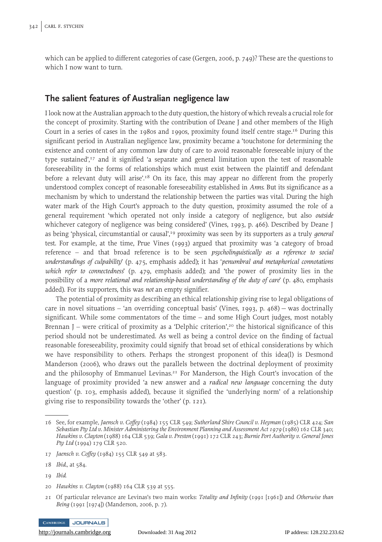which can be applied to different categories of case (Gergen, 2006, p. 749)? These are the questions to which I now want to turn.

#### The salient features of Australian negligence law

I look now at the Australian approach to the duty question, the history of which reveals a crucial role for the concept of proximity. Starting with the contribution of Deane J and other members of the High Court in a series of cases in the 1980s and 1990s, proximity found itself centre stage.16 During this significant period in Australian negligence law, proximity became a 'touchstone for determining the existence and content of any common law duty of care to avoid reasonable foreseeable injury of the type sustained', <sup>17</sup> and it signified 'a separate and general limitation upon the test of reasonable foreseeability in the forms of relationships which must exist between the plaintiff and defendant before a relevant duty will arise'.<sup>18</sup> On its face, this may appear no different from the properly understood complex concept of reasonable foreseeability established in Anns. But its significance as a mechanism by which to understand the relationship between the parties was vital. During the high water mark of the High Court's approach to the duty question, proximity assumed the role of a general requirement 'which operated not only inside a category of negligence, but also outside whichever category of negligence was being considered' (Vines, 1993, p. 466). Described by Deane J as being 'physical, circumstantial or causal',<sup>19</sup> proximity was seen by its supporters as a truly *general* test. For example, at the time, Prue Vines (1993) argued that proximity was 'a category of broad reference – and that broad reference is to be seen *psycholinguistically as a reference to social* understandings of culpability' (p. 475, emphasis added); it has 'penumbral and metaphorical connotations which refer to connectedness' (p. 479, emphasis added); and 'the power of proximity lies in the possibility of a more relational and relationship-based understanding of the duty of care' (p. 480, emphasis added). For its supporters, this was not an empty signifier.

The potential of proximity as describing an ethical relationship giving rise to legal obligations of care in novel situations – 'an overriding conceptual basis' (Vines, 1993, p. 468) − was doctrinally significant. While some commentators of the time – and some High Court judges, most notably Brennan J – were critical of proximity as a 'Delphic criterion',<sup>20</sup> the historical significance of this period should not be underestimated. As well as being a control device on the finding of factual reasonable foreseeability, proximity could signify that broad set of ethical considerations by which we have responsibility to others. Perhaps the strongest proponent of this idea(l) is Desmond Manderson (2006), who draws out the parallels between the doctrinal deployment of proximity and the philosophy of Emmanuel Levinas.<sup>21</sup> For Manderson, the High Court's invocation of the language of proximity provided 'a new answer and a *radical new language* concerning the duty question' (p. 103, emphasis added), because it signified the 'underlying norm' of a relationship giving rise to responsibility towards the 'other' (p. 121).

19 Ibid.

<sup>21</sup> Of particular relevance are Levinas's two main works: Totality and Infinity (1991 [1961]) and Otherwise than Being (1991 [1974]) (Manderson, 2006, p. 7).



<sup>16</sup> See, for example, Jaensch v. Coffey (1984) 155 CLR 549; Sutherland Shire Council v. Heyman (1985) CLR 424; San Sebastian Pty Ltd v. Minister Administering the Environment Planning and Assessment Act 1979 (1986) 162 CLR 340; Hawkins v. Clayton (1988) 164 CLR 539; Gala v. Preston (1991) 172 CLR 243; Burnie Port Authority v. General Jones Pty Ltd (1994) 179 CLR 520.

<sup>17</sup> Jaensch v. Coffey (1984) 155 CLR 549 at 583.

<sup>18</sup> Ibid., at 584.

<sup>20</sup> Hawkins v. Clayton (1988) 164 CLR 539 at 555.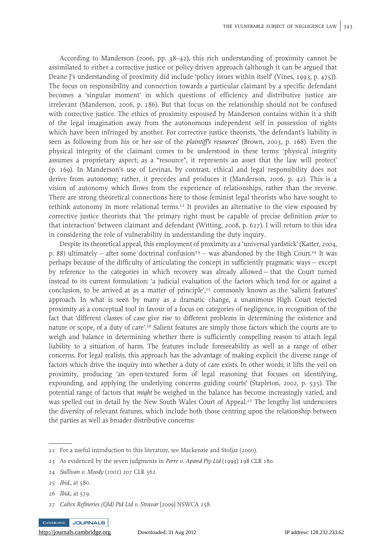According to Manderson (2006, pp. 38–42), this rich understanding of proximity cannot be assimilated to either a corrective justice or policy-driven approach (although it can be argued that Deane J's understanding of proximity did include 'policy issues within itself' (Vines, 1993, p. 475)). The focus on responsibility and connection towards a particular claimant by a specific defendant becomes a 'singular moment' in which questions of efficiency and distributive justice are irrelevant (Manderson, 2006, p. 186). But that focus on the relationship should not be confused with corrective justice. The ethics of proximity espoused by Manderson contains within it a shift of the legal imagination away from the autonomous independent self in possession of rights which have been infringed by another. For corrective justice theorists, 'the defendant's liability is seen as following from his or her use of the *plaintiff's resources*' (Brown, 2003, p. 168). Even the physical integrity of the claimant comes to be understood in these terms: 'physical integrity assumes a proprietary aspect; as a "resource", it represents an asset that the law will protect' (p. 169). In Manderson's use of Levinas, by contrast, ethical and legal responsibility does not derive from autonomy; rather, it precedes and produces it (Manderson, 2006, p. 42). This is a vision of autonomy which flows from the experience of relationships, rather than the reverse. There are strong theoretical connections here to those feminist legal theorists who have sought to rethink autonomy in more relational terms.<sup>22</sup> It provides an alternative to the view espoused by corrective justice theorists that 'the primary right must be capable of precise definition *prior* to that interaction' between claimant and defendant (Witting, 2008, p. 627). I will return to this idea in considering the role of vulnerability in understanding the duty inquiry.

Despite its theoretical appeal, this employment of proximity as a 'universal yardstick' (Katter, 2004, p. 88) ultimately – after some doctrinal confusion<sup>23</sup> – was abandoned by the High Court.<sup>24</sup> It was perhaps because of the difficulty of articulating the concept in sufficiently pragmatic ways − except by reference to the categories in which recovery was already allowed − that the Court turned instead to its current formulation: 'a judicial evaluation of the factors which tend for or against a conclusion, to be arrived at as a matter of principle', <sup>25</sup> commonly known as the 'salient features' approach. In what is seen by many as a dramatic change, a unanimous High Court rejected proximity as a conceptual tool in favour of a focus on categories of negligence, in recognition of the fact that 'different classes of case give rise to different problems in determining the existence and nature or scope, of a duty of care'.<sup>26</sup> Salient features are simply those factors which the courts are to weigh and balance in determining whether there is sufficiently compelling reason to attach legal liability to a situation of harm. The features include foreseeability as well as a range of other concerns. For legal realists, this approach has the advantage of making explicit the diverse range of factors which drive the inquiry into whether a duty of care exists. In other words, it lifts the veil on proximity, producing 'an open-textured form of legal reasoning that focuses on identifying, expounding, and applying the underlying concerns guiding courts' (Stapleton, 2002, p. 535). The potential range of factors that might be weighed in the balance has become increasingly varied, and was spelled out in detail by the New South Wales Court of Appeal.27 The lengthy list underscores the diversity of relevant features, which include both those centring upon the relationship between the parties as well as broader distributive concerns:

<sup>22</sup> For a useful introduction to this literature, see Mackenzie and Stoljar (2000).

<sup>23</sup> As evidenced by the seven judgments in Perre v. Apand Pty Ltd (1999) 198 CLR 180.

<sup>24</sup> Sullivan v. Moody (2001) 207 CLR 562.

<sup>25</sup> Ibid., at 580.

<sup>26</sup> Ibid., at 579.

<sup>27</sup> Caltex Refineries (Qld) Ptd Ltd v. Stravar [2009] NSWCA 258.

CAMBRIDGE JOURNALS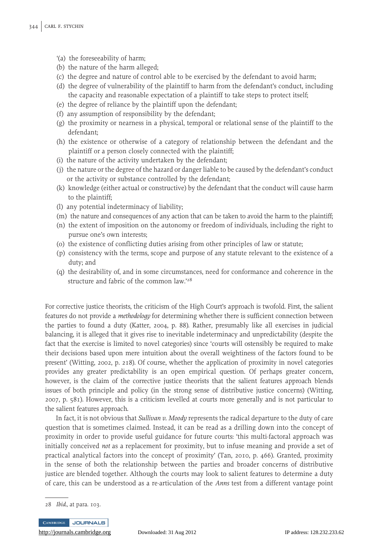- '(a) the foreseeability of harm;
- (b) the nature of the harm alleged;
- (c) the degree and nature of control able to be exercised by the defendant to avoid harm;
- (d) the degree of vulnerability of the plaintiff to harm from the defendant's conduct, including the capacity and reasonable expectation of a plaintiff to take steps to protect itself;
- (e) the degree of reliance by the plaintiff upon the defendant;
- (f) any assumption of responsibility by the defendant;
- (g) the proximity or nearness in a physical, temporal or relational sense of the plaintiff to the defendant;
- (h) the existence or otherwise of a category of relationship between the defendant and the plaintiff or a person closely connected with the plaintiff;
- (i) the nature of the activity undertaken by the defendant;
- (j) the nature or the degree of the hazard or danger liable to be caused by the defendant's conduct or the activity or substance controlled by the defendant;
- (k) knowledge (either actual or constructive) by the defendant that the conduct will cause harm to the plaintiff;
- (l) any potential indeterminacy of liability;
- (m) the nature and consequences of any action that can be taken to avoid the harm to the plaintiff;
- (n) the extent of imposition on the autonomy or freedom of individuals, including the right to pursue one's own interests;
- (o) the existence of conflicting duties arising from other principles of law or statute;
- (p) consistency with the terms, scope and purpose of any statute relevant to the existence of a duty; and
- (q) the desirability of, and in some circumstances, need for conformance and coherence in the structure and fabric of the common law.' 28

For corrective justice theorists, the criticism of the High Court's approach is twofold. First, the salient features do not provide a methodology for determining whether there is sufficient connection between the parties to found a duty (Katter, 2004, p. 88). Rather, presumably like all exercises in judicial balancing, it is alleged that it gives rise to inevitable indeterminacy and unpredictability (despite the fact that the exercise is limited to novel categories) since 'courts will ostensibly be required to make their decisions based upon mere intuition about the overall weightiness of the factors found to be present' (Witting, 2002, p. 218). Of course, whether the application of proximity in novel categories provides any greater predictability is an open empirical question. Of perhaps greater concern, however, is the claim of the corrective justice theorists that the salient features approach blends issues of both principle and policy (in the strong sense of distributive justice concerns) (Witting, 2007, p. 581). However, this is a criticism levelled at courts more generally and is not particular to the salient features approach.

In fact, it is not obvious that Sullivan v. Moody represents the radical departure to the duty of care question that is sometimes claimed. Instead, it can be read as a drilling down into the concept of proximity in order to provide useful guidance for future courts: 'this multi-factoral approach was initially conceived *not* as a replacement for proximity, but to infuse meaning and provide a set of practical analytical factors into the concept of proximity' (Tan, 2010, p. 466). Granted, proximity in the sense of both the relationship between the parties and broader concerns of distributive justice are blended together. Although the courts may look to salient features to determine a duty of care, this can be understood as a re-articulation of the Anns test from a different vantage point

<sup>28</sup> Ibid., at para. 103.



<http://journals.cambridge.org> Downloaded: 31 Aug 2012 IP address: 128.232.233.62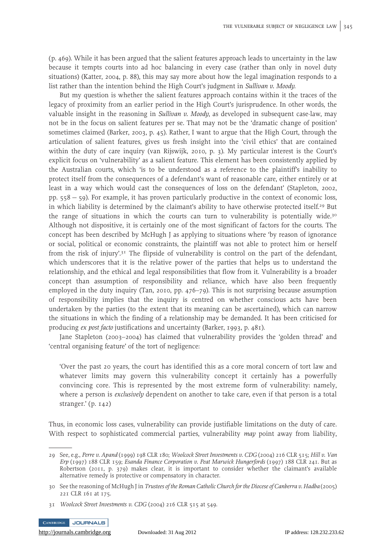(p. 469). While it has been argued that the salient features approach leads to uncertainty in the law because it tempts courts into ad hoc balancing in every case (rather than only in novel duty situations) (Katter, 2004, p. 88), this may say more about how the legal imagination responds to a list rather than the intention behind the High Court's judgment in Sullivan v. Moody.

But my question is whether the salient features approach contains within it the traces of the legacy of proximity from an earlier period in the High Court's jurisprudence. In other words, the valuable insight in the reasoning in Sullivan v. Moody, as developed in subsequent case-law, may not be in the focus on salient features per se. That may not be the 'dramatic change of position' sometimes claimed (Barker, 2003, p. 45). Rather, I want to argue that the High Court, through the articulation of salient features, gives us fresh insight into the 'civil ethics' that are contained within the duty of care inquiry (van Rijswijk, 2010, p. 3). My particular interest is the Court's explicit focus on 'vulnerability' as a salient feature. This element has been consistently applied by the Australian courts, which 'is to be understood as a reference to the plaintiff's inability to protect itself from the consequences of a defendant's want of reasonable care, either entirely or at least in a way which would cast the consequences of loss on the defendant' (Stapleton, 2002, pp. 558 − 59). For example, it has proven particularly productive in the context of economic loss, in which liability is determined by the claimant's ability to have otherwise protected itself.<sup>29</sup> But the range of situations in which the courts can turn to vulnerability is potentially wide.<sup>30</sup> Although not dispositive, it is certainly one of the most significant of factors for the courts. The concept has been described by McHugh J as applying to situations where 'by reason of ignorance or social, political or economic constraints, the plaintiff was not able to protect him or herself from the risk of injury'. <sup>31</sup> The flipside of vulnerability is control on the part of the defendant, which underscores that it is the relative power of the parties that helps us to understand the relationship, and the ethical and legal responsibilities that flow from it. Vulnerability is a broader concept than assumption of responsibility and reliance, which have also been frequently employed in the duty inquiry (Tan, 2010, pp. 476–79). This is not surprising because assumption of responsibility implies that the inquiry is centred on whether conscious acts have been undertaken by the parties (to the extent that its meaning can be ascertained), which can narrow the situations in which the finding of a relationship may be demanded. It has been criticised for producing ex post facto justifications and uncertainty (Barker, 1993, p. 481).

Jane Stapleton (2003–2004) has claimed that vulnerability provides the 'golden thread' and 'central organising feature' of the tort of negligence:

'Over the past 20 years, the court has identified this as a core moral concern of tort law and whatever limits may govern this vulnerability concept it certainly has a powerfully convincing core. This is represented by the most extreme form of vulnerability: namely, where a person is exclusively dependent on another to take care, even if that person is a total stranger.' (p. 142)

Thus, in economic loss cases, vulnerability can provide justifiable limitations on the duty of care. With respect to sophisticated commercial parties, vulnerability may point away from liability,

<sup>31</sup> Woolcock Street Investments v. CDG (2004) 216 CLR 515 at 549.



<sup>29</sup> See, e.g., Perre v. Apand (1999) 198 CLR 180; Woolcock Street Investments v. CDG (2004) 216 CLR 515; Hill v. Van Erp (1997) 188 CLR 159; Esanda Finance Corporation v. Peat Marwick Hungerfords (1997) 188 CLR 241. But as Robertson (2011, p. 379) makes clear, it is important to consider whether the claimant's available alternative remedy is protective or compensatory in character.

<sup>30</sup> See the reasoning of McHugh J in Trustees of the Roman Catholic Church for the Diocese of Canberra v. Hadba (2005) 221 CLR 161 at 175.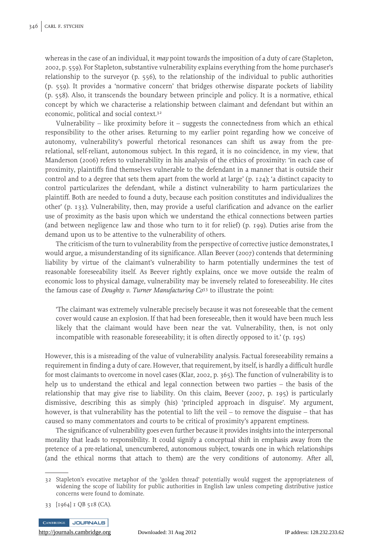whereas in the case of an individual, it may point towards the imposition of a duty of care (Stapleton, 2002, p. 559). For Stapleton, substantive vulnerability explains everything from the home purchaser's relationship to the surveyor (p. 556), to the relationship of the individual to public authorities (p. 559). It provides a 'normative concern' that bridges otherwise disparate pockets of liability (p. 558). Also, it transcends the boundary between principle and policy. It is a normative, ethical concept by which we characterise a relationship between claimant and defendant but within an economic, political and social context.32

Vulnerability – like proximity before it – suggests the connectedness from which an ethical responsibility to the other arises. Returning to my earlier point regarding how we conceive of autonomy, vulnerability's powerful rhetorical resonances can shift us away from the prerelational, self-reliant, autonomous subject. In this regard, it is no coincidence, in my view, that Manderson (2006) refers to vulnerability in his analysis of the ethics of proximity: 'in each case of proximity, plaintiffs find themselves vulnerable to the defendant in a manner that is outside their control and to a degree that sets them apart from the world at large' (p. 124); 'a distinct capacity to control particularizes the defendant, while a distinct vulnerability to harm particularizes the plaintiff. Both are needed to found a duty, because each position constitutes and individualizes the other' (p. 133). Vulnerability, then, may provide a useful clarification and advance on the earlier use of proximity as the basis upon which we understand the ethical connections between parties (and between negligence law and those who turn to it for relief) (p. 199). Duties arise from the demand upon us to be attentive to the vulnerability of others.

The criticism of the turn to vulnerability from the perspective of corrective justice demonstrates, I would argue, a misunderstanding of its significance. Allan Beever (2007) contends that determining liability by virtue of the claimant's vulnerability to harm potentially undermines the test of reasonable foreseeability itself. As Beever rightly explains, once we move outside the realm of economic loss to physical damage, vulnerability may be inversely related to foreseeability. He cites the famous case of *Doughty v. Turner Manufacturing*  $Co^{33}$  to illustrate the point:

'The claimant was extremely vulnerable precisely because it was not foreseeable that the cement cover would cause an explosion. If that had been foreseeable, then it would have been much less likely that the claimant would have been near the vat. Vulnerability, then, is not only incompatible with reasonable foreseeability; it is often directly opposed to it.' (p. 195)

However, this is a misreading of the value of vulnerability analysis. Factual foreseeability remains a requirement in finding a duty of care. However, that requirement, by itself, is hardly a difficult hurdle for most claimants to overcome in novel cases (Klar, 2002, p. 365). The function of vulnerability is to help us to understand the ethical and legal connection between two parties – the basis of the relationship that may give rise to liability. On this claim, Beever (2007, p. 195) is particularly dismissive, describing this as simply (his) 'principled approach in disguise'. My argument, however, is that vulnerability has the potential to lift the veil – to remove the disguise – that has caused so many commentators and courts to be critical of proximity's apparent emptiness.

The significance of vulnerability goes even further because it provides insights into the interpersonal morality that leads to responsibility. It could signify a conceptual shift in emphasis away from the pretence of a pre-relational, unencumbered, autonomous subject, towards one in which relationships (and the ethical norms that attach to them) are the very conditions of autonomy. After all,

<sup>33 [1964] 1</sup> QB 518 (CA).



<sup>32</sup> Stapleton's evocative metaphor of the 'golden thread' potentially would suggest the appropriateness of widening the scope of liability for public authorities in English law unless competing distributive justice concerns were found to dominate.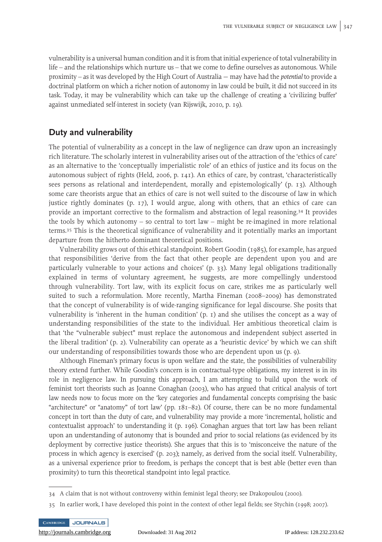vulnerability is a universal human condition and it is from that initial experience of total vulnerability in life – and the relationships which nurture us – that we come to define ourselves as autonomous. While proximity – as it was developed by the High Court of Australia − may have had the potential to provide a doctrinal platform on which a richer notion of autonomy in law could be built, it did not succeed in its task. Today, it may be vulnerability which can take up the challenge of creating a 'civilizing buffer' against unmediated self-interest in society (van Rijswijk, 2010, p. 19).

#### Duty and vulnerability

The potential of vulnerability as a concept in the law of negligence can draw upon an increasingly rich literature. The scholarly interest in vulnerability arises out of the attraction of the 'ethics of care' as an alternative to the 'conceptually imperialistic role' of an ethics of justice and its focus on the autonomous subject of rights (Held, 2006, p. 141). An ethics of care, by contrast, 'characteristically sees persons as relational and interdependent, morally and epistemologically' (p. 13). Although some care theorists argue that an ethics of care is not well suited to the discourse of law in which justice rightly dominates (p. 17), I would argue, along with others, that an ethics of care can provide an important corrective to the formalism and abstraction of legal reasoning.<sup>34</sup> It provides the tools by which autonomy  $-$  so central to tort law  $-$  might be re-imagined in more relational terms.<sup>35</sup> This is the theoretical significance of vulnerability and it potentially marks an important departure from the hitherto dominant theoretical positions.

Vulnerability grows out of this ethical standpoint. Robert Goodin (1985), for example, has argued that responsibilities 'derive from the fact that other people are dependent upon you and are particularly vulnerable to your actions and choices' (p. 33). Many legal obligations traditionally explained in terms of voluntary agreement, he suggests, are more compellingly understood through vulnerability. Tort law, with its explicit focus on care, strikes me as particularly well suited to such a reformulation. More recently, Martha Fineman (2008–2009) has demonstrated that the concept of vulnerability is of wide-ranging significance for legal discourse. She posits that vulnerability is 'inherent in the human condition' (p. 1) and she utilises the concept as a way of understanding responsibilities of the state to the individual. Her ambitious theoretical claim is that 'the "vulnerable subject" must replace the autonomous and independent subject asserted in the liberal tradition' (p. 2). Vulnerability can operate as a 'heuristic device' by which we can shift our understanding of responsibilities towards those who are dependent upon us (p. 9).

Although Fineman's primary focus is upon welfare and the state, the possibilities of vulnerability theory extend further. While Goodin's concern is in contractual-type obligations, my interest is in its role in negligence law. In pursuing this approach, I am attempting to build upon the work of feminist tort theorists such as Joanne Conaghan (2003), who has argued that critical analysis of tort law needs now to focus more on the 'key categories and fundamental concepts comprising the basic "architecture" or "anatomy" of tort law' (pp. 181–82). Of course, there can be no more fundamental concept in tort than the duty of care, and vulnerability may provide a more 'incremental, holistic and contextualist approach' to understanding it (p. 196). Conaghan argues that tort law has been reliant upon an understanding of autonomy that is bounded and prior to social relations (as evidenced by its deployment by corrective justice theorists). She argues that this is to 'misconceive the nature of the process in which agency is exercised' (p. 203); namely, as derived from the social itself. Vulnerability, as a universal experience prior to freedom, is perhaps the concept that is best able (better even than proximity) to turn this theoretical standpoint into legal practice.

- 34 A claim that is not without controversy within feminist legal theory; see Drakopoulou (2000).
- 35 In earlier work, I have developed this point in the context of other legal fields; see Stychin (1998; 2007).

CAMBRIDGE JOURNALS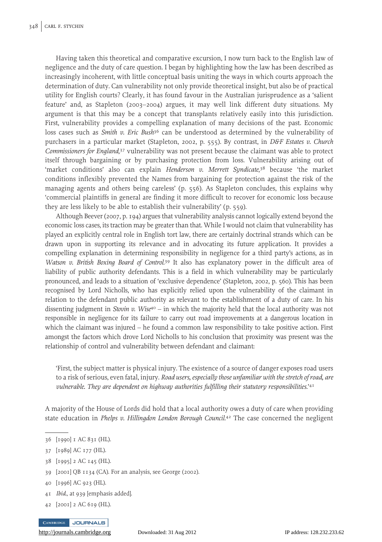Having taken this theoretical and comparative excursion, I now turn back to the English law of negligence and the duty of care question. I began by highlighting how the law has been described as increasingly incoherent, with little conceptual basis uniting the ways in which courts approach the determination of duty. Can vulnerability not only provide theoretical insight, but also be of practical utility for English courts? Clearly, it has found favour in the Australian jurisprudence as a 'salient feature' and, as Stapleton (2003–2004) argues, it may well link different duty situations. My argument is that this may be a concept that transplants relatively easily into this jurisdiction. First, vulnerability provides a compelling explanation of many decisions of the past. Economic loss cases such as Smith v. Eric Bush<sup>36</sup> can be understood as determined by the vulnerability of purchasers in a particular market (Stapleton, 2002, p. 555). By contrast, in D&F Estates v. Church Commissioners for England,<sup>37</sup> vulnerability was not present because the claimant was able to protect itself through bargaining or by purchasing protection from loss. Vulnerability arising out of 'market conditions' also can explain Henderson v. Merrett Syndicate, <sup>38</sup> because 'the market conditions inflexibly prevented the Names from bargaining for protection against the risk of the managing agents and others being careless' (p. 556). As Stapleton concludes, this explains why 'commercial plaintiffs in general are finding it more difficult to recover for economic loss because they are less likely to be able to establish their vulnerability' (p. 559).

Although Beever (2007, p. 194) argues that vulnerability analysis cannot logically extend beyond the economic loss cases, its traction may be greater than that. While I would not claim that vulnerability has played an explicitly central role in English tort law, there are certainly doctrinal strands which can be drawn upon in supporting its relevance and in advocating its future application. It provides a compelling explanation in determining responsibility in negligence for a third party's actions, as in Watson v. British Boxing Board of Control.<sup>39</sup> It also has explanatory power in the difficult area of liability of public authority defendants. This is a field in which vulnerability may be particularly pronounced, and leads to a situation of 'exclusive dependence' (Stapleton, 2002, p. 560). This has been recognised by Lord Nicholls, who has explicitly relied upon the vulnerability of the claimant in relation to the defendant public authority as relevant to the establishment of a duty of care. In his dissenting judgment in *Stovin v. Wise*<sup>40</sup> – in which the majority held that the local authority was not responsible in negligence for its failure to carry out road improvements at a dangerous location in which the claimant was injured – he found a common law responsibility to take positive action. First amongst the factors which drove Lord Nicholls to his conclusion that proximity was present was the relationship of control and vulnerability between defendant and claimant:

'First, the subject matter is physical injury. The existence of a source of danger exposes road users to a risk of serious, even fatal, injury. Road users, especially those unfamiliar with the stretch of road, are vulnerable. They are dependent on highway authorities fulfilling their statutory responsibilities.'<sup>41</sup>

A majority of the House of Lords did hold that a local authority owes a duty of care when providing state education in Phelps v. Hillingdon London Borough Council.<sup>42</sup> The case concerned the negligent

- 36 [1990] 1 AC 831 (HL).
- 37 [1989] AC 177 (HL).
- 38 [1995] 2 AC 145 (HL).
- 39 [2001] QB 1134 (CA). For an analysis, see George (2002).
- 40 [1996] AC 923 (HL).
- 41 Ibid., at 939 [emphasis added].
- 42 [2001] 2 AC 619 (HL).

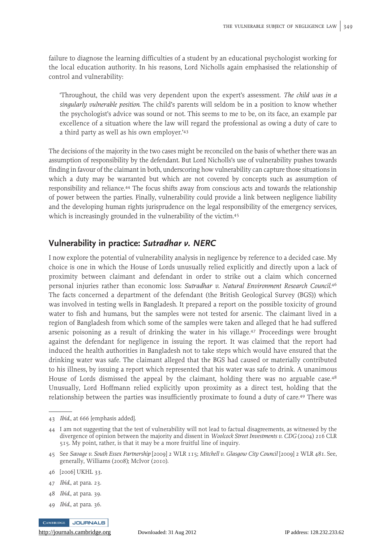failure to diagnose the learning difficulties of a student by an educational psychologist working for the local education authority. In his reasons, Lord Nicholls again emphasised the relationship of control and vulnerability:

'Throughout, the child was very dependent upon the expert's assessment. The child was in a singularly vulnerable position. The child's parents will seldom be in a position to know whether the psychologist's advice was sound or not. This seems to me to be, on its face, an example par excellence of a situation where the law will regard the professional as owing a duty of care to a third party as well as his own employer.' 43

The decisions of the majority in the two cases might be reconciled on the basis of whether there was an assumption of responsibility by the defendant. But Lord Nicholls's use of vulnerability pushes towards finding in favour of the claimant in both, underscoring how vulnerability can capture those situations in which a duty may be warranted but which are not covered by concepts such as assumption of responsibility and reliance.44 The focus shifts away from conscious acts and towards the relationship of power between the parties. Finally, vulnerability could provide a link between negligence liability and the developing human rights jurisprudence on the legal responsibility of the emergency services, which is increasingly grounded in the vulnerability of the victim.<sup>45</sup>

#### Vulnerability in practice: Sutradhar v. NERC

I now explore the potential of vulnerability analysis in negligence by reference to a decided case. My choice is one in which the House of Lords unusually relied explicitly and directly upon a lack of proximity between claimant and defendant in order to strike out a claim which concerned personal injuries rather than economic loss: Sutradhar v. Natural Environment Research Council.<sup>46</sup> The facts concerned a department of the defendant (the British Geological Survey (BGS)) which was involved in testing wells in Bangladesh. It prepared a report on the possible toxicity of ground water to fish and humans, but the samples were not tested for arsenic. The claimant lived in a region of Bangladesh from which some of the samples were taken and alleged that he had suffered arsenic poisoning as a result of drinking the water in his village.47 Proceedings were brought against the defendant for negligence in issuing the report. It was claimed that the report had induced the health authorities in Bangladesh not to take steps which would have ensured that the drinking water was safe. The claimant alleged that the BGS had caused or materially contributed to his illness, by issuing a report which represented that his water was safe to drink. A unanimous House of Lords dismissed the appeal by the claimant, holding there was no arguable case.<sup>48</sup> Unusually, Lord Hoffmann relied explicitly upon proximity as a direct test, holding that the relationship between the parties was insufficiently proximate to found a duty of care.49 There was

- 47 Ibid., at para. 23.
- 48 Ibid., at para. 39.
- 49 Ibid., at para. 36.

CAMBRIDGE JOURNALS

<sup>43</sup> Ibid., at 666 [emphasis added].

<sup>44</sup> I am not suggesting that the test of vulnerability will not lead to factual disagreements, as witnessed by the divergence of opinion between the majority and dissent in Woolcock Street Investments v. CDG (2004) 216 CLR 515. My point, rather, is that it may be a more fruitful line of inquiry.

<sup>45</sup> See Savage v. South Essex Partnership [2009] 2 WLR 115; Mitchell v. Glasgow City Council [2009] 2 WLR 481. See, generally, Williams (2008); McIvor (2010).

<sup>46 [2006]</sup> UKHL 33.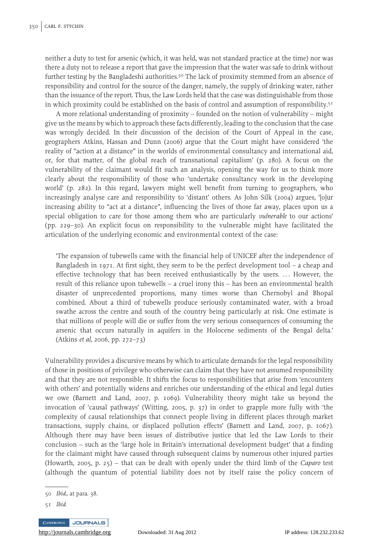neither a duty to test for arsenic (which, it was held, was not standard practice at the time) nor was there a duty not to release a report that gave the impression that the water was safe to drink without further testing by the Bangladeshi authorities.<sup>50</sup> The lack of proximity stemmed from an absence of responsibility and control for the source of the danger, namely, the supply of drinking water, rather than the issuance of the report. Thus, the Law Lords held that the case was distinguishable from those in which proximity could be established on the basis of control and assumption of responsibility.<sup>51</sup>

A more relational understanding of proximity – founded on the notion of vulnerability – might give us the means by which to approach these facts differently, leading to the conclusion that the case was wrongly decided. In their discussion of the decision of the Court of Appeal in the case, geographers Atkins, Hassan and Dunn (2006) argue that the Court might have considered 'the reality of "action at a distance" in the worlds of environmental consultancy and international aid, or, for that matter, of the global reach of transnational capitalism' (p. 280). A focus on the vulnerability of the claimant would fit such an analysis, opening the way for us to think more clearly about the responsibility of those who 'undertake consultancy work in the developing world' (p. 282). In this regard, lawyers might well benefit from turning to geographers, who increasingly analyse care and responsibility to 'distant' others. As John Silk (2004) argues, '[o]ur increasing ability to "act at a distance", influencing the lives of those far away, places upon us a special obligation to care for those among them who are particularly vulnerable to our actions' (pp. 229–30). An explicit focus on responsibility to the vulnerable might have facilitated the articulation of the underlying economic and environmental context of the case:

'The expansion of tubewells came with the financial help of UNICEF after the independence of Bangladesh in  $1971$ . At first sight, they seem to be the perfect development tool – a cheap and effective technology that has been received enthusiastically by the users. ... However, the result of this reliance upon tubewells – a cruel irony this – has been an environmental health disaster of unprecedented proportions, many times worse than Chernobyl and Bhopal combined. About a third of tubewells produce seriously contaminated water, with a broad swathe across the centre and south of the country being particularly at risk. One estimate is that millions of people will die or suffer from the very serious consequences of consuming the arsenic that occurs naturally in aquifers in the Holocene sediments of the Bengal delta.' (Atkins et al, 2006, pp. 272–73)

Vulnerability provides a discursive means by which to articulate demands for the legal responsibility of those in positions of privilege who otherwise can claim that they have not assumed responsibility and that they are not responsible. It shifts the focus to responsibilities that arise from 'encounters with others' and potentially widens and enriches our understanding of the ethical and legal duties we owe (Barnett and Land, 2007, p. 1069). Vulnerability theory might take us beyond the invocation of 'causal pathways' (Witting, 2005, p. 37) in order to grapple more fully with 'the complexity of causal relationships that connect people living in different places through market transactions, supply chains, or displaced pollution effects' (Barnett and Land, 2007, p. 1067). Although there may have been issues of distributive justice that led the Law Lords to their conclusion – such as the 'large hole in Britain's international development budget' that a finding for the claimant might have caused through subsequent claims by numerous other injured parties (Howarth, 2005, p. 25) – that can be dealt with openly under the third limb of the Caparo test (although the quantum of potential liability does not by itself raise the policy concern of

<sup>51</sup> Ibid.



<sup>50</sup> Ibid., at para. 38.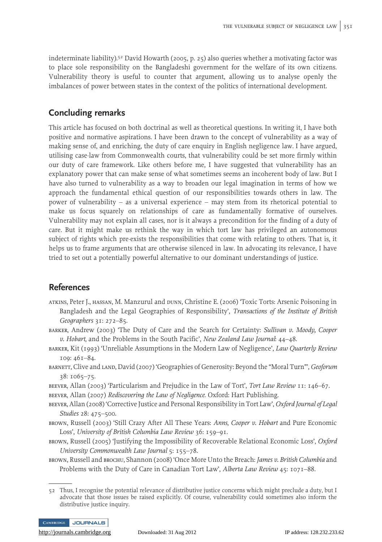indeterminate liability).<sup>52</sup> David Howarth (2005, p. 25) also queries whether a motivating factor was to place sole responsibility on the Bangladeshi government for the welfare of its own citizens. Vulnerability theory is useful to counter that argument, allowing us to analyse openly the imbalances of power between states in the context of the politics of international development.

#### Concluding remarks

This article has focused on both doctrinal as well as theoretical questions. In writing it, I have both positive and normative aspirations. I have been drawn to the concept of vulnerability as a way of making sense of, and enriching, the duty of care enquiry in English negligence law. I have argued, utilising case-law from Commonwealth courts, that vulnerability could be set more firmly within our duty of care framework. Like others before me, I have suggested that vulnerability has an explanatory power that can make sense of what sometimes seems an incoherent body of law. But I have also turned to vulnerability as a way to broaden our legal imagination in terms of how we approach the fundamental ethical question of our responsibilities towards others in law. The power of vulnerability – as a universal experience – may stem from its rhetorical potential to make us focus squarely on relationships of care as fundamentally formative of ourselves. Vulnerability may not explain all cases, nor is it always a precondition for the finding of a duty of care. But it might make us rethink the way in which tort law has privileged an autonomous subject of rights which pre-exists the responsibilities that come with relating to others. That is, it helps us to frame arguments that are otherwise silenced in law. In advocating its relevance, I have tried to set out a potentially powerful alternative to our dominant understandings of justice.

#### References

- atkins, Peter J., hassan, M. Manzurul and dunn, Christine E. (2006) 'Toxic Torts: Arsenic Poisoning in Bangladesh and the Legal Geographies of Responsibility', Transactions of the Institute of British Geographers 31: 272–85.
- barker, Andrew (2003) 'The Duty of Care and the Search for Certainty: Sullivan v. Moody, Cooper v. Hobart, and the Problems in the South Pacific', New Zealand Law Journal: 44–48.
- barker, Kit (1993) 'Unreliable Assumptions in the Modern Law of Negligence', Law Quarterly Review 109: 461–84.
- barnett, Clive and land, David (2007) 'Geographies of Generosity: Beyond the "Moral Turn"', Geoforum 38: 1065–75.
- beever, Allan (2003) 'Particularism and Prejudice in the Law of Tort', Tort Law Review 11: 146–67.
- beever, Allan (2007) Rediscovering the Law of Negligence. Oxford: Hart Publishing.
- beever, Allan (2008) 'Corrective Justice and Personal Responsibility in Tort Law', Oxford Journal of Legal Studies 28: 475–500.
- BROWN, Russell (2003) 'Still Crazy After All These Years: Anns, Cooper v. Hobart and Pure Economic Loss', University of British Columbia Law Review 36: 159-91.
- brown, Russell (2005) 'Justifying the Impossibility of Recoverable Relational Economic Loss', Oxford University Commonwealth Law Journal 5: 155–78.
- brown, Russell and brochu, Shannon (2008) 'Once More Unto the Breach: James v. British Columbia and Problems with the Duty of Care in Canadian Tort Law', Alberta Law Review 45: 1071–88.

<sup>52</sup> Thus, I recognise the potential relevance of distributive justice concerns which might preclude a duty, but I advocate that those issues be raised explicitly. Of course, vulnerability could sometimes also inform the distributive justice inquiry.

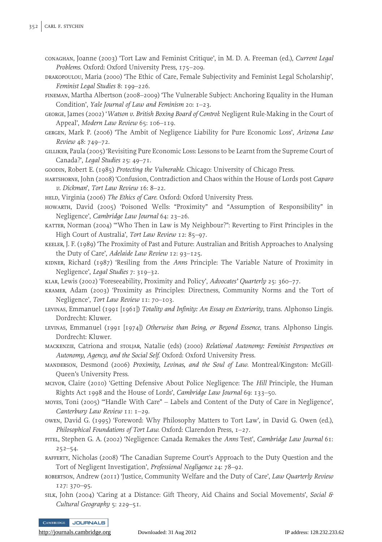- conaghan, Joanne (2003) 'Tort Law and Feminist Critique', in M. D. A. Freeman (ed.), Current Legal Problems. Oxford: Oxford University Press, 175–209.
- drakopoulou, Maria (2000) 'The Ethic of Care, Female Subjectivity and Feminist Legal Scholarship', Feminist Legal Studies 8: 199–226.
- fineman, Martha Albertson (2008–2009) 'The Vulnerable Subject: Anchoring Equality in the Human Condition', Yale Journal of Law and Feminism 20: 1–23.
- george, James (2002) 'Watson v. British Boxing Board of Control: Negligent Rule-Making in the Court of Appeal', Modern Law Review 65: 106–119.
- gergen, Mark P. (2006) 'The Ambit of Negligence Liability for Pure Economic Loss', Arizona Law Review 48: 749–72.
- gilliker, Paula (2005) 'Revisiting Pure Economic Loss: Lessons to be Learnt from the Supreme Court of Canada?', Legal Studies 25: 49–71.
- goodin, Robert E. (1985) Protecting the Vulnerable. Chicago: University of Chicago Press.
- hartshorne, John (2008) 'Confusion, Contradiction and Chaos within the House of Lords post Caparo v. Dickman', Tort Law Review 16: 8–22.
- HELD, Virginia (2006) The Ethics of Care. Oxford: Oxford University Press.
- howarth, David (2005) 'Poisoned Wells: "Proximity" and "Assumption of Responsibility" in Negligence', Cambridge Law Journal 64: 23–26.
- katter, Norman (2004) '"Who Then in Law is My Neighbour?": Reverting to First Principles in the High Court of Australia', Tort Law Review 12: 85–97.
- keeler, J. F. (1989) 'The Proximity of Past and Future: Australian and British Approaches to Analysing the Duty of Care', Adelaide Law Review 12: 93–125.
- kidner, Richard (1987) 'Resiling from the Anns Principle: The Variable Nature of Proximity in Negligence', Legal Studies 7: 319–32.
- klar, Lewis (2002) 'Foreseeability, Proximity and Policy', Advocates' Quarterly 25: 360–77.
- kramer, Adam (2003) 'Proximity as Principles: Directness, Community Norms and the Tort of Negligence', Tort Law Review 11: 70–103.
- LEVINAS, Emmanuel (1991 [1961]) Totality and Infinity: An Essay on Exteriority, trans. Alphonso Lingis. Dordrecht: Kluwer.
- levinas, Emmanuel (1991 [1974]) Otherwise than Being, or Beyond Essence, trans. Alphonso Lingis. Dordrecht: Kluwer.
- mackenzie, Catriona and stoljar, Natalie (eds) (2000) Relational Autonomy: Feminist Perspectives on Autonomy, Agency, and the Social Self. Oxford: Oxford University Press.
- manderson, Desmond (2006) Proximity, Levinas, and the Soul of Law. Montreal/Kingston: McGill-Queen's University Press.
- mcivor, Claire (2010) 'Getting Defensive About Police Negligence: The Hill Principle, the Human Rights Act 1998 and the House of Lords', Cambridge Law Journal 69: 133–50.
- moyes, Toni (2005) '"Handle With Care" Labels and Content of the Duty of Care in Negligence', Canterbury Law Review 11: 1–29.
- owen, David G. (1995) 'Foreword: Why Philosophy Matters to Tort Law', in David G. Owen (ed.), Philosophical Foundations of Tort Law. Oxford: Clarendon Press, 1-27.
- PITEL, Stephen G. A. (2002) 'Negligence: Canada Remakes the Anns Test', Cambridge Law Journal 61:  $252 - 54.$
- rafferty, Nicholas (2008) 'The Canadian Supreme Court's Approach to the Duty Question and the Tort of Negligent Investigation', Professional Negligence 24: 78–92.
- robertson, Andrew (2011) 'Justice, Community Welfare and the Duty of Care', Law Quarterly Review 127: 370–95.
- silk, John (2004) 'Caring at a Distance: Gift Theory, Aid Chains and Social Movements', Social & Cultural Geography 5: 229–51.